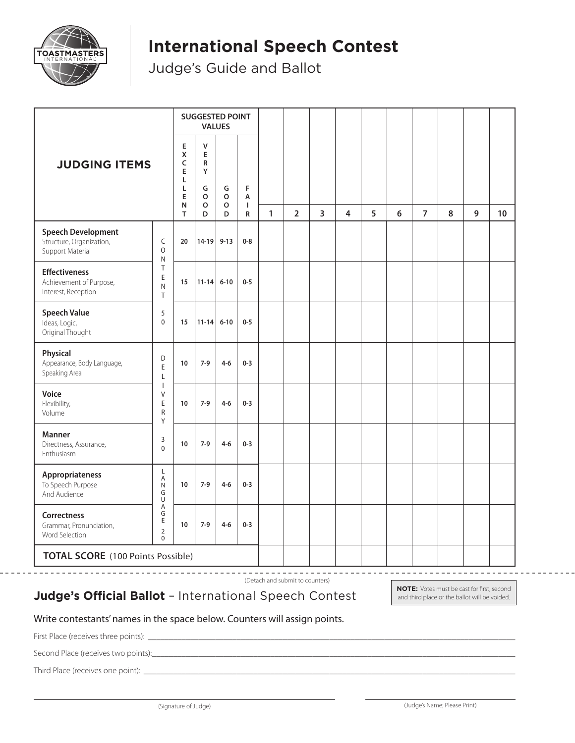

# **International Speech Contest**

Judge's Guide and Ballot

|                                                                           |                                                                                          |                                 | <b>SUGGESTED POINT</b><br><b>VALUES</b>                    |                  |                                    |              |                |                |   |   |   |                |   |   |    |
|---------------------------------------------------------------------------|------------------------------------------------------------------------------------------|---------------------------------|------------------------------------------------------------|------------------|------------------------------------|--------------|----------------|----------------|---|---|---|----------------|---|---|----|
| <b>JUDGING ITEMS</b>                                                      |                                                                                          | Е<br>Χ<br>C<br>E<br>Г<br>L<br>E | $\mathsf{V}$<br>E<br>R<br>Y<br>G<br>o<br>$\circ$<br>N<br>D | G<br>o<br>o<br>D | $\mathsf F$<br>Α<br>L<br>${\sf R}$ |              |                |                |   |   |   |                |   |   |    |
|                                                                           |                                                                                          | T                               |                                                            |                  |                                    | $\mathbf{1}$ | $\overline{2}$ | $\overline{3}$ | 4 | 5 | 6 | $\overline{7}$ | 8 | 9 | 10 |
| <b>Speech Development</b><br>Structure, Organization,<br>Support Material | C<br>0<br>N<br>T<br>E<br>${\sf N}$<br>T<br>5<br>$\mathbf 0$                              | 20                              | 14-19                                                      | $9 - 13$         | $0 - 8$                            |              |                |                |   |   |   |                |   |   |    |
| <b>Effectiveness</b><br>Achievement of Purpose,<br>Interest, Reception    |                                                                                          | 15                              | $11 - 14$                                                  | $6 - 10$         | $0-5$                              |              |                |                |   |   |   |                |   |   |    |
| <b>Speech Value</b><br>Ideas, Logic,<br>Original Thought                  |                                                                                          | 15                              | $11 - 14$                                                  | $6 - 10$         | $0 - 5$                            |              |                |                |   |   |   |                |   |   |    |
| Physical<br>Appearance, Body Language,<br>Speaking Area                   | D<br>E<br>L<br>$\overline{\phantom{a}}$<br>V<br>E<br>${\sf R}$<br>Y<br>3<br>$\mathbf{0}$ | 10                              | $7-9$                                                      | $4 - 6$          | $0 - 3$                            |              |                |                |   |   |   |                |   |   |    |
| Voice<br>Flexibility,<br>Volume                                           |                                                                                          | 10                              | $7-9$                                                      | $4 - 6$          | $0 - 3$                            |              |                |                |   |   |   |                |   |   |    |
| <b>Manner</b><br>Directness, Assurance,<br>Enthusiasm                     |                                                                                          | 10                              | $7-9$                                                      | $4 - 6$          | $0 - 3$                            |              |                |                |   |   |   |                |   |   |    |
| Appropriateness<br>To Speech Purpose<br>And Audience                      | Г<br>Α<br>${\sf N}$<br>G<br>U<br>Α<br>G<br>E<br>$\overline{2}$<br>0                      | 10                              | $7-9$                                                      | $4 - 6$          | $0 - 3$                            |              |                |                |   |   |   |                |   |   |    |
| Correctness<br>Grammar, Pronunciation,<br>Word Selection                  |                                                                                          | 10                              | $7-9$                                                      | $4 - 6$          | $0 - 3$                            |              |                |                |   |   |   |                |   |   |    |
| <b>TOTAL SCORE</b> (100 Points Possible)                                  |                                                                                          |                                 |                                                            |                  |                                    |              |                |                |   |   |   |                |   |   |    |

(Detach and submit to counters)

#### **Judge's Official Ballot** – International Speech Contest

**NOTE:** Votes must be cast for first, second and third place or the ballot will be voided.

--------------------

#### Write contestants' names in the space below. Counters will assign points.

First Place (receives three points): \_\_\_\_\_\_\_\_\_\_\_\_\_\_\_\_\_\_\_\_\_\_\_\_\_\_\_\_\_\_\_\_\_\_\_\_\_\_\_\_\_\_\_\_\_\_\_\_\_\_\_\_\_\_\_\_\_\_\_\_\_\_\_\_\_\_\_\_\_\_\_\_\_\_\_\_\_\_\_\_\_\_\_\_\_\_\_

Second Place (receives two points):

Third Place (receives one point): \_